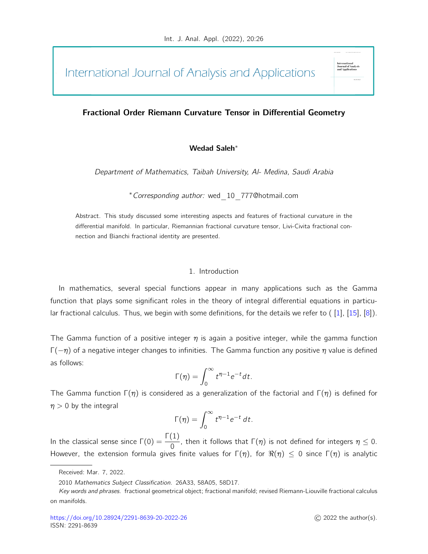# International Journal of Analysis and Applications

# Fractional Order Riemann Curvature Tensor in Differential Geometry

## Wedad Saleh<sup>∗</sup>

Department of Mathematics, Taibah University, Al- Medina, Saudi Arabia

<sup>∗</sup>Corresponding author: wed\_10\_777@hotmail.com

Abstract. This study discussed some interesting aspects and features of fractional curvature in the differential manifold. In particular, Riemannian fractional curvature tensor, Livi-Civita fractional connection and Bianchi fractional identity are presented.

### 1. Introduction

In mathematics, several special functions appear in many applications such as the Gamma function that plays some significant roles in the theory of integral differential equations in particular fractional calculus. Thus, we begin with some definitions, for the details we refer to ( [\[1\]](#page-14-0), [\[15\]](#page-14-1), [\[8\]](#page-14-2)).

The Gamma function of a positive integer  $\eta$  is again a positive integer, while the gamma function  $Γ(−η)$  of a negative integer changes to infinities. The Gamma function any positive η value is defined as follows:

$$
\Gamma(\eta) = \int_0^\infty t^{\eta-1} e^{-t} dt.
$$

The Gamma function  $\Gamma(\eta)$  is considered as a generalization of the factorial and  $\Gamma(\eta)$  is defined for  $\eta > 0$  by the integral

$$
\Gamma(\eta) = \int_0^\infty t^{\eta-1} e^{-t} dt.
$$

In the classical sense since  $\Gamma(0)=\dfrac{\Gamma(1)}{0}.$  then it follows that  $\Gamma(\eta)$  is not defined for integers  $\eta\leq 0.$ However, the extension formula gives finite values for  $\Gamma(\eta)$ , for  $\Re(\eta) \leq 0$  since  $\Gamma(\eta)$  is analytic

JOUPBALOI<br>2nd Annlie

Received: Mar. 7, 2022.

<sup>2010</sup> Mathematics Subject Classification. 26A33, 58A05, 58D17.

Key words and phrases. fractional geometrical object; fractional manifold; revised Riemann-Liouville fractional calculus on manifolds.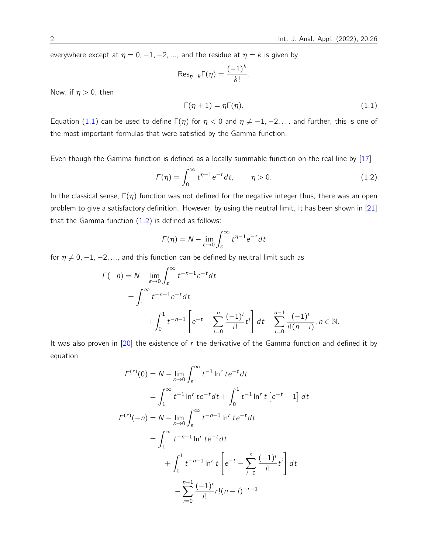everywhere except at  $\eta = 0, -1, -2, \dots$ , and the residue at  $\eta = k$  is given by

<span id="page-1-0"></span>
$$
\operatorname{Res}_{\eta=k}\Gamma(\eta)=\frac{(-1)^k}{k!}
$$

<span id="page-1-1"></span>.

Now, if  $\eta > 0$ , then

$$
\Gamma(\eta + 1) = \eta \Gamma(\eta). \tag{1.1}
$$

Equation [\(1.1\)](#page-1-0) can be used to define  $\Gamma(\eta)$  for  $\eta < 0$  and  $\eta \neq -1, -2, \ldots$  and further, this is one of the most important formulas that were satisfied by the Gamma function.

Even though the Gamma function is defined as a locally summable function on the real line by [\[17\]](#page-14-3)

$$
\Gamma(\eta) = \int_0^\infty t^{\eta - 1} e^{-t} dt, \qquad \eta > 0.
$$
 (1.2)

In the classical sense,  $\Gamma(\eta)$  function was not defined for the negative integer thus, there was an open problem to give a satisfactory definition. However, by using the neutral limit, it has been shown in [\[21\]](#page-15-0) that the Gamma function  $(1.2)$  is defined as follows:

$$
\Gamma(\eta) = N - \lim_{\varepsilon \to 0} \int_{\varepsilon}^{\infty} t^{\eta - 1} e^{-t} dt
$$

for  $\eta \neq 0, -1, -2, \dots$ , and this function can be defined by neutral limit such as

$$
\Gamma(-n) = N - \lim_{\varepsilon \to 0} \int_{\varepsilon}^{\infty} t^{-n-1} e^{-t} dt
$$
  
=  $\int_{1}^{\infty} t^{-n-1} e^{-t} dt$   
+  $\int_{0}^{1} t^{-n-1} \left[ e^{-t} - \sum_{i=0}^{n} \frac{(-1)^{i}}{i!} t^{i} \right] dt - \sum_{i=0}^{n-1} \frac{(-1)^{i}}{i! (n-i)}, n \in \mathbb{N}.$ 

It was also proven in  $[20]$  the existence of r the derivative of the Gamma function and defined it by equation

$$
\Gamma^{(r)}(0) = N - \lim_{\varepsilon \to 0} \int_{\varepsilon}^{\infty} t^{-1} \ln^{r} t e^{-t} dt
$$
  
\n
$$
= \int_{1}^{\infty} t^{-1} \ln^{r} t e^{-t} dt + \int_{0}^{1} t^{-1} \ln^{r} t [e^{-t} - 1] dt
$$
  
\n
$$
\Gamma^{(r)}(-n) = N - \lim_{\varepsilon \to 0} \int_{\varepsilon}^{\infty} t^{-n-1} \ln^{r} t e^{-t} dt
$$
  
\n
$$
= \int_{1}^{\infty} t^{-n-1} \ln^{r} t e^{-t} dt
$$
  
\n
$$
+ \int_{0}^{1} t^{-n-1} \ln^{r} t \left[ e^{-t} - \sum_{i=0}^{n} \frac{(-1)^{i}}{i!} t^{i} \right] dt
$$
  
\n
$$
- \sum_{i=0}^{n-1} \frac{(-1)^{i}}{i!} r!(n-i)^{-r-1}
$$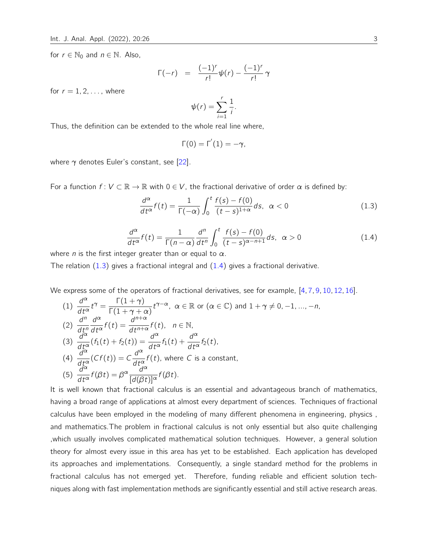for  $r \in \mathbb{N}_0$  and  $n \in \mathbb{N}$ . Also,

$$
\Gamma(-r) = \frac{(-1)^r}{r!} \psi(r) - \frac{(-1)^r}{r!} \gamma
$$

for  $r = 1, 2, \ldots$ , where

 $\sim$ 

$$
\psi(r)=\sum_{i=1}^r\frac{1}{i}.
$$

Thus, the definition can be extended to the whole real line where,

<span id="page-2-0"></span>
$$
\Gamma(0)=\Gamma^{'}(1)=-\gamma,
$$

where  $\gamma$  denotes Euler's constant, see [\[22\]](#page-15-1).

<span id="page-2-1"></span>For a function  $f: V \subset \mathbb{R} \to \mathbb{R}$  with  $0 \in V$ , the fractional derivative of order  $\alpha$  is defined by:

$$
\frac{d^{\alpha}}{dt^{\alpha}}f(t) = \frac{1}{\Gamma(-\alpha)} \int_0^t \frac{f(s) - f(0)}{(t - s)^{1 + \alpha}} ds, \ \alpha < 0 \tag{1.3}
$$

$$
\frac{d^{\alpha}}{dt^{\alpha}}f(t) = \frac{1}{\Gamma(n-\alpha)}\frac{d^n}{dt^n} \int_0^t \frac{f(s) - f(0)}{(t-s)^{\alpha - n + 1}} ds, \ \alpha > 0
$$
\n(1.4)

where *n* is the first integer greater than or equal to  $\alpha$ .

 $\Gamma(1)$ 

The relation  $(1.3)$  gives a fractional integral and  $(1.4)$  gives a fractional derivative.

We express some of the operators of fractional derivatives, see for example, [\[4,](#page-14-5) [7,](#page-14-6) [9,](#page-14-7) [10,](#page-14-8) [12,](#page-14-9) [16\]](#page-14-10).

(1) 
$$
\frac{d^{\alpha}}{dt^{\alpha}}t^{\gamma} = \frac{\Gamma(1+\gamma)}{\Gamma(1+\gamma+\alpha)}t^{\gamma-\alpha}, \ \alpha \in \mathbb{R} \text{ or } (\alpha \in \mathbb{C}) \text{ and } 1+\gamma \neq 0, -1, ..., -n,
$$
  
\n(2) 
$$
\frac{d^n}{dt^n} \frac{d^{\alpha}}{dt^{\alpha}}f(t) = \frac{d^{n+\alpha}}{dt^{n+\alpha}}f(t), \quad n \in \mathbb{N},
$$
  
\n(3) 
$$
\frac{d^{\alpha}}{dt^{\alpha}}(f_1(t) + f_2(t)) = \frac{d^{\alpha}}{dt^{\alpha}}f_1(t) + \frac{d^{\alpha}}{dt^{\alpha}}f_2(t),
$$
  
\n(4) 
$$
\frac{d^{\alpha}}{dt^{\alpha}}(Cf(t)) = C \frac{d^{\alpha}}{dt^{\alpha}}f(t), \text{ where } C \text{ is a constant},
$$
  
\n(5) 
$$
\frac{d^{\alpha}}{dt^{\alpha}}f(\beta t) = \beta^{\alpha} \frac{d^{\alpha}}{[d(\beta t)]^{\alpha}}f(\beta t).
$$

It is well known that fractional calculus is an essential and advantageous branch of mathematics, having a broad range of applications at almost every department of sciences. Techniques of fractional calculus have been employed in the modeling of many different phenomena in engineering, physics , and mathematics.The problem in fractional calculus is not only essential but also quite challenging ,which usually involves complicated mathematical solution techniques. However, a general solution theory for almost every issue in this area has yet to be established. Each application has developed its approaches and implementations. Consequently, a single standard method for the problems in fractional calculus has not emerged yet. Therefore, funding reliable and efficient solution techniques along with fast implementation methods are significantly essential and still active research areas.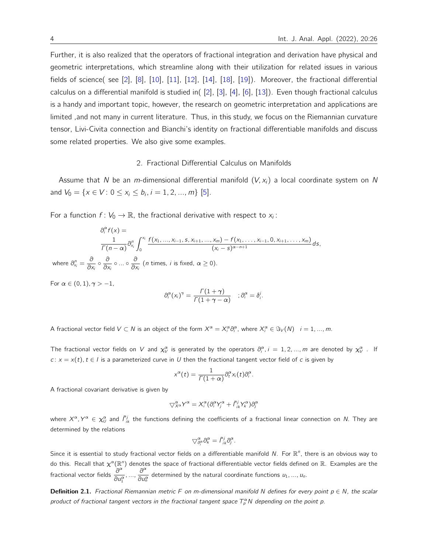Further, it is also realized that the operators of fractional integration and derivation have physical and geometric interpretations, which streamline along with their utilization for related issues in various fields of science( see  $[2]$ ,  $[8]$ ,  $[10]$ ,  $[11]$ ,  $[12]$ ,  $[14]$ ,  $[18]$ ,  $[19]$ ). Moreover, the fractional differential calculus on a differential manifold is studied in( [\[2\]](#page-14-11), [\[3\]](#page-14-16), [\[4\]](#page-14-5), [\[6\]](#page-14-17), [\[13\]](#page-14-18)). Even though fractional calculus is a handy and important topic, however, the research on geometric interpretation and applications are limited ,and not many in current literature. Thus, in this study, we focus on the Riemannian curvature tensor, Livi-Civita connection and Bianchi's identity on fractional differentiable manifolds and discuss some related properties. We also give some examples.

#### 2. Fractional Differential Calculus on Manifolds

Assume that N be an m-dimensional differential manifold  $(V, x_i)$  a local coordinate system on N and  $V_0 = \{x \in V : 0 \le x_i \le b_i, i = 1, 2, ..., m\}$  [\[5\]](#page-14-19).

For a function  $f: V_0 \to \mathbb{R}$ , the fractional derivative with respect to  $x_i$ :

$$
\partial_i^{\alpha} f(x) =
$$
\n
$$
\frac{1}{\Gamma(n-\alpha)} \partial_{x_i}^n \int_0^{x_i} \frac{f(x_1, ..., x_{i-1}, s, x_{i+1}, ..., x_m) - f(x_1, ..., x_{i-1}, 0, x_{i+1}, ..., x_m)}{(x_i - s)^{\alpha - n + 1}} ds,
$$
\nwhere  $\partial_{x_i}^n = \frac{\partial}{\partial x_i} \circ \frac{\partial}{\partial x_i} \circ ... \circ \frac{\partial}{\partial x_i}$  (*n* times, *i* is fixed,  $\alpha \ge 0$ ).

For  $\alpha \in (0,1)$ ,  $\gamma > -1$ ,

$$
\partial_i^{\alpha}(x_i)^{\gamma} = \frac{\Gamma(1+\gamma)}{\Gamma(1+\gamma-\alpha)} \quad ; \partial_i^{\alpha} = \delta_i^j.
$$

A fractional vector field  $V \subset N$  is an object of the form  $X^{\alpha} = X_i^{\alpha} \partial_i^{\alpha}$ , where  $X_i^{\alpha} \in \Im_V(N)$   $i = 1, ..., m$ .

The fractional vector fields on V and  $\chi_V^{\alpha}$  is generated by the operators  $\partial_i^{\alpha}$ ,  $i=1,2,...,m$  are denoted by  $\chi_V^{\alpha}$ . If  $c: x = x(t)$ ,  $t \in I$  is a parameterized curve in U then the fractional tangent vector field of c is given by

$$
x^{\alpha}(t)=\frac{1}{\Gamma(1+\alpha)}\partial_t^{\alpha}x_i(t)\partial_i^{\alpha}.
$$

A fractional covariant derivative is given by

$$
\nabla_{X^{\alpha}}^{\alpha}Y^{\alpha}=X_{i}^{\alpha}(\partial_{i}^{\alpha}Y_{j}^{\alpha}+\tilde{\Gamma}_{ik}^{j}Y_{k}^{\alpha})\partial_{j}^{\alpha}
$$

where  $X^\alpha, Y^\alpha\in\chi_U^\alpha$  and  $\tilde f_{ik}^j$  the functions defining the coefficients of a fractional linear connection on  $N$ . They are determined by the relations

$$
\nabla^{\alpha}_{\partial_i^{\alpha}} \partial_k^{\alpha} = \tilde{\Gamma}_{ik}^j \partial_j^{\alpha}.
$$

Since it is essential to study fractional vector fields on a differentiable manifold N. For  $\mathbb{R}^n$ , there is an obvious way to do this. Recall that  $\chi^\alpha(\R^n)$  denotes the space of fractional differentiable vector fields defined on  $\R$ . Examples are the fractional vector fields  $\frac{\partial^{\alpha}}{\partial \alpha}$  $\overleftarrow{\frac{\partial^{\alpha}}{\partial u_{1}^{\alpha}}},...,\overrightarrow{\frac{\partial^{\alpha}}{\partial u_{n}^{\alpha}}}$  $\frac{\partial}{\partial u_n^{\alpha}}$  determined by the natural coordinate functions  $u_1, ..., u_n$ .

Definition 2.1. Fractional Riemannian metric F on m-dimensional manifold N defines for every point  $p \in N$ , the scalar product of fractional tangent vectors in the fractional tangent space  $T_p^{\alpha}N$  depending on the point p.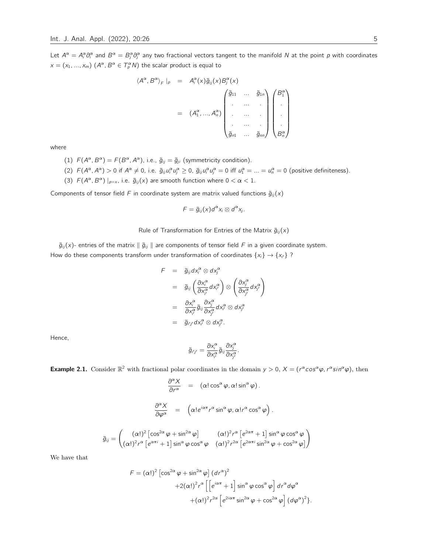Let  $A^\alpha=A^\alpha_i\partial^\alpha_i$  and  $B^\alpha=B^\alpha_j\partial^\alpha_i$  any two fractional vectors tangent to the manifold  $N$  at the point  $p$  with coordinates  $x = (x_1, ..., x_m)$   $(A^{\alpha}, B^{\alpha} \in T_{\rho}^{\alpha} N)$  the scalar product is equal to

$$
\langle A^{\alpha}, B^{\alpha} \rangle_{F} |_{p} = A_{i}^{\alpha}(x) \tilde{g}_{ij}(x) B_{j}^{\alpha}(x)
$$

$$
= (A_{1}^{\alpha}, ..., A_{n}^{\alpha}) \begin{pmatrix} \tilde{g}_{11} & ... & \tilde{g}_{1n} \\ ... & ... & ... \\ ... & ... & ... \\ \tilde{g}_{n1} & ... & \tilde{g}_{nn} \end{pmatrix} \begin{pmatrix} B_{1}^{\alpha} \\ \vdots \\ B_{n}^{\alpha} \end{pmatrix}
$$

where

- (1)  $F(A^{\alpha}, B^{\alpha}) = F(B^{\alpha}, A^{\alpha})$ , i.e.,  $\tilde{g}_{ij} = \tilde{g}_{ji}$  (symmetricity condition).
- (2)  $F(A^{\alpha}, A^{\alpha}) > 0$  if  $A^{\alpha} \neq 0$ , i.e.  $\tilde{g}_{ij}u_i^{\alpha}u_j^{\alpha} \geq 0$ ,  $\tilde{g}_{ij}u_i^{\alpha}u_j^{\alpha} = 0$  iff  $u_1^{\alpha} = ... = u_n^{\alpha} = 0$  (positive definiteness).
- (3)  $F(A^{\alpha}, B^{\alpha})|_{p=x}$ , i.e.  $\tilde{g}_{ij}(x)$  are smooth function where  $0 < \alpha < 1$ .

Components of tensor field F in coordinate system are matrix valued functions  $\tilde{g}_{ii}(x)$ 

$$
F=\tilde{g}_{ij}(x)d^{\alpha}x_i\otimes d^{\alpha}x_j.
$$

Rule of Transformation for Entries of the Matrix  $\tilde{g}_{ii}(x)$ 

 $\tilde{g}_{ij}(x)$ - entries of the matrix  $\|\tilde{g}_{ij}\|$  are components of tensor field F in a given coordinate system. How do these components transform under transformation of coordinates  $\{x_i\} \rightarrow \{x_{i'}\}$  ?

$$
F = \tilde{g}_{ij} dx_i^{\alpha} \otimes dx_j^{\alpha}
$$
  
\n
$$
= \tilde{g}_{ij} \left( \frac{\partial x_i^{\alpha}}{\partial x_i^{\alpha}} dx_{i'}^{\alpha} \right) \otimes \left( \frac{\partial x_j^{\alpha}}{\partial x_{j'}^{\alpha}} dx_{j'}^{\alpha} \right)
$$
  
\n
$$
= \frac{\partial x_i^{\alpha}}{\partial x_i^{\alpha}} \tilde{g}_{ij} \frac{\partial x_j^{\alpha}}{\partial x_{j'}^{\alpha}} dx_{i'}^{\alpha} \otimes dx_{j'}^{\alpha}
$$
  
\n
$$
= \tilde{g}_{i'j'} dx_i^{\alpha} \otimes dx_{j'}^{\alpha}.
$$

Hence,

$$
\tilde{g}_{i'j'} = \frac{\partial x_i^{\alpha}}{\partial x_{i'}^{\alpha}} \tilde{g}_{ij} \frac{\partial x_j^{\alpha}}{\partial x_{j'}^{\alpha}}.
$$

**Example 2.1.** Consider  $\mathbb{R}^2$  with fractional polar coordinates in the domain  $y > 0$ ,  $X = (r^{\alpha} \cos^{\alpha} \varphi, r^{\alpha} \sin^{\alpha} \varphi)$ , then

$$
\frac{\partial^{\alpha} X}{\partial r^{\alpha}} = (\alpha! \cos^{\alpha} \varphi, \alpha! \sin^{\alpha} \varphi).
$$

$$
\frac{\partial^{\alpha} X}{\partial \varphi^{\alpha}} = (\alpha! e^{i\alpha \pi} r^{\alpha} \sin^{\alpha} \varphi, \alpha! r^{\alpha} \cos^{\alpha} \varphi).
$$

$$
(\alpha!)^{2} [\cos^{2\alpha} \varphi + \sin^{2\alpha} \varphi] \qquad (\alpha!)^{2} r^{\alpha} [e^{2\alpha \pi} + 1] \sin^{\alpha} \varphi \cos^{\alpha} \varphi
$$

$$
(\alpha!)^{2} r^{\alpha} [e^{\alpha \pi i} + 1] \sin^{\alpha} \varphi \cos^{\alpha} \varphi \qquad (\alpha!)^{2} r^{2\alpha} [e^{2\alpha \pi i} \sin^{2\alpha} \varphi + \cos^{2\alpha} \varphi]
$$

We have that

 $\tilde{g}_{ij} =$ 

$$
F = (\alpha!)^2 \left[ \cos^{2\alpha} \varphi + \sin^{2\alpha} \varphi \right] (dr^{\alpha})^2
$$
  
+2(\alpha!)^2 r^{\alpha} \left[ \left[ e^{i\alpha \pi} + 1 \right] \sin^{\alpha} \varphi \cos^{\alpha} \varphi \right] dr^{\alpha} d\varphi^{\alpha}  
+ (\alpha!)^2 r^{2\alpha} \left[ e^{2i\alpha \pi} \sin^{2\alpha} \varphi + \cos^{2\alpha} \varphi \right] (d\varphi^{\alpha})^2 \right].

 $\setminus$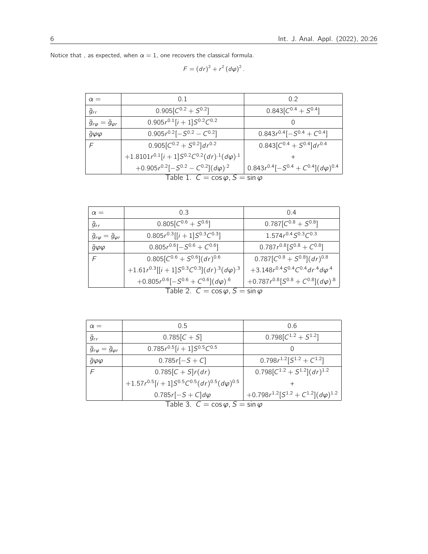| $\alpha =$                                   | 0.5                                                            | 0.6                                                                                  |
|----------------------------------------------|----------------------------------------------------------------|--------------------------------------------------------------------------------------|
| $\tilde{g}_{rr}$                             | $0.785[C + S]$                                                 | $0.798[C^{1.2} + S^{1.2}]$                                                           |
| $\tilde{g}_{r\varphi}=\tilde{g}_{\varphi r}$ | $0.785r^{0.5}[i + 1]S^{0.5}C^{0.5}$                            | $\left( \right)$                                                                     |
| $\tilde{g}\varphi\varphi$                    | $0.785r[-S+C]$                                                 | $0.798r^{1.2}[S^{1.2}+C^{1.2}]$                                                      |
|                                              | $0.785[C + S]r(dr)$                                            | $0.798[C^{1.2} + S^{1.2}](dr)^{1.2}$                                                 |
|                                              | +1.57 $r^{0.5}[i + 1]S^{0.5}C^{0.5}(dr)^{0.5}(d\varphi)^{0.5}$ |                                                                                      |
|                                              | $0.785r[-S+C]d\varphi$                                         | +0.798 $r^{1.2}$ [S <sup>1.2</sup> + C <sup>1.2</sup> ]( $d\varphi$ ) <sup>1.2</sup> |
|                                              | $T - L L - 2$                                                  |                                                                                      |

Table 3.  $C = \cos \varphi$ ,  $S = \sin \varphi$ 

| $\alpha =$                                   | 0 1                                                        | 02                                  |
|----------------------------------------------|------------------------------------------------------------|-------------------------------------|
| $\tilde{g}_{rr}$                             | $0.905[C^{0.2} + S^{0.2}]$                                 | $0.843[C^{0.4} + S^{0.4}]$          |
| $\tilde{g}_{r\varphi}=\tilde{g}_{\varphi r}$ | $0.905r^{0.1}[i + 1]S^{0.2}C^{0.2}$                        |                                     |
| $\tilde{g} \varphi \varphi$                  | $0.905r^{0.2}[-S^{0.2}-C^{0.2}]$                           | $0.843r^{0.4}[-S^{0.4}+C^{0.4}]$    |
| F                                            | $0.905[C^{0.2} + S^{0.2}]dr^{0.2}$                         | $0.843[C^{0.4} + S^{0.4}]dr^{0.4}$  |
|                                              | +1.8101 $r^{0.1}[i+1]S^{0.2}C^{0.2}(dr)^{1}(d\varphi)^{1}$ |                                     |
|                                              | $(0.20025 \times 0.21)$ $(0.20021 \times 0.21)$            | $0.912 - 0.41$ $0.4 - 0.41$ $4.004$ |

 $F = (dr)^{2} + r^{2} (d\varphi)^{2}$ .

Notice that , as expected, when  $\alpha = 1$ , one recovers the classical formula.

 $\tilde{g} \varphi \varphi$  0.805 $r^{0.6}[-S^{0.6}+C^{0.6}]$ 

F  $0.805[C^{0.6} + S^{0.6}](dr)$ 

 $+1.61r^{0.3}$ [[i + 1]S<sup>0.3</sup>C<sup>0.3</sup>](dr)<sup>-3</sup>(d $\varphi$ )

| $U.3UJU$ $U$ $U$                                           | $U.U.TJ U =  U $                                               |
|------------------------------------------------------------|----------------------------------------------------------------|
| +1.8101 $r^{0.1}[i+1]S^{0.2}C^{0.2}(dr)^{1}(d\varphi)^{1}$ |                                                                |
| $+0.905r^{0.2}[-S^{0.2}-C^{0.2}](d\varphi)^{2}$            | $\left[0.843r^{0.4}[-5]^{0.4}+C^{0.4}](d\varphi)^{0.4}\right]$ |
| Table 1. $C = \cos \varphi$ , $S = \sin \varphi$           |                                                                |
|                                                            |                                                                |
|                                                            |                                                                |

 $\alpha =$  0.3 0.4  $\tilde{g}_{rr}$  0.805[ $C^{0.6} + S^{0.6}$  $\begin{bmatrix} 0.787[C^{0.8} + S^{0.8}] \end{bmatrix}$  $\tilde{g}_{r\varphi}=\tilde{g}_{\varphi r}$  $^{0.3}$ [[i + 1]S $^{0.3}$ C $^{0.3}$ ]  $1.574r^{0.4}S^{0.3}C^{0.3}$ 

 $+0.805r^{0.6}[-S^{0.6}+C^{0.6}](d\varphi)^{.6}$   $\qquad +0.787r$ 

Table 2.  $C = \cos \varphi$ ,  $S = \sin \varphi$ 

] 0.787 $r^{0.8}$ [ $5^{0.8} + C^{0.8}$ ]

<sup>0</sup>.<sup>6</sup> 0.787[C <sup>0</sup>.<sup>8</sup> + S 0.8 ](d r ) 0.8

 $^{3}$  +3.148 $r^{0.4}$ S<sup>0.4</sup>C<sup>0.4</sup>dr<sup>.4</sup>d $\varphi$ <sup>.4</sup>

 $0.8$ [S $^{0.8}$  +  $C^{0.8}$ ](d $\varphi$ ) $.8$ 

| 6 |  | Int. J. Anal. Appl. (2022), 20:26 |  |
|---|--|-----------------------------------|--|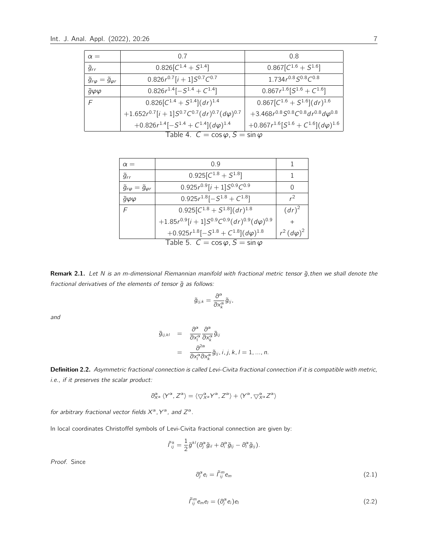| $\alpha =$                                   | 0.7                                                                                   | 0.8                                                                                  |
|----------------------------------------------|---------------------------------------------------------------------------------------|--------------------------------------------------------------------------------------|
| $\tilde{g}_{rr}$                             | $0.826[C^{1.4} + S^{1.4}]$                                                            | $0.867[C^{1.6} + S^{1.6}]$                                                           |
| $\tilde{g}_{r\varphi}=\tilde{g}_{\varphi r}$ | $0.826r^{0.7}[i + 1]S^{0.7}C^{0.7}$                                                   | $1.734r^{0.8}S^{0.8}C^{0.8}$                                                         |
| $\ddot{g}\varphi\varphi$                     | $0.826r^{1.4}[-S^{1.4}+C^{1.4}]$                                                      | $0.867r^{1.6}[S^{1.6}+C^{1.6}]$                                                      |
| F                                            | $0.826[C^{1.4} + S^{1.4}](dr)^{1.4}$                                                  | $0.867[C^{1.6} + S^{1.6}](dr)^{1.6}$                                                 |
|                                              | $+1.652r^{0.7}[i+1]S^{0.7}C^{0.7}(dr)^{0.7}(d\varphi)^{0.7}$                          | +3.468 $r^{0.8}$ S <sup>0.8</sup> C <sup>0.8</sup> d $r^{0.8}$ d $\varphi^{0.8}$     |
|                                              | +0.826 $r^{1.4}$ [-S <sup>1.4</sup> + C <sup>1.4</sup> ]( $d\varphi$ ) <sup>1.4</sup> | +0.867 $r^{1.6}$ [S <sup>1.6</sup> + C <sup>1.6</sup> ]( $d\varphi$ ) <sup>1.6</sup> |
|                                              | $T_2$ blo $\Lambda$ $C = \cos \omega C$                                               | $\sim$                                                                               |

Table 4.  $C = \cos \varphi, S = \sin \varphi$ 

| $\alpha =$                                   | 0.9                                                                                   |                    |
|----------------------------------------------|---------------------------------------------------------------------------------------|--------------------|
| $\tilde{g}_{rr}$                             | $0.925[C^{1.8} + S^{1.8}]$                                                            |                    |
| $\ddot{g}_{r\varphi} = \ddot{g}_{\varphi r}$ | $0.925r^{0.9}[i + 1]S^{0.9}C^{0.9}$                                                   | O                  |
| $\tilde{g}\varphi\varphi$                    | $0.925r^{1.8}[-S^{1.8}+C^{1.8}]$                                                      | $r^2$              |
| F                                            | $0.925[C^{1.8} + S^{1.8}](dr)^{1.8}$                                                  | $(dr)^2$           |
|                                              | +1.85 $r^{0.9}[i+1]S^{0.9}C^{0.9}(dr)^{0.9}(d\varphi)^{0.9}$                          |                    |
|                                              | +0.925 $r^{1.8}$ [-S <sup>1.8</sup> + C <sup>1.8</sup> ]( $d\varphi$ ) <sup>1.8</sup> | $r^2 (d\varphi)^2$ |
|                                              | Table 5. $C = \cos \varphi$ , $S = \sin \varphi$                                      |                    |

Remark 2.1. Let N is an m-dimensional Riemannian manifold with fractional metric tensor  $\tilde{g}$ ,then we shall denote the fractional derivatives of the elements of tensor  $\tilde{g}$  as follows:

$$
\tilde{g}_{ij,k}=\frac{\partial^{\alpha}}{\partial x_{k}^{\alpha}}\tilde{g}_{ij},
$$

and

$$
\tilde{g}_{ij,kl} = \frac{\partial^{\alpha}}{\partial x_i^{\alpha}} \frac{\partial^{\alpha}}{\partial x_k^{\alpha}} \tilde{g}_{ij}
$$
  
= 
$$
\frac{\partial^{2\alpha}}{\partial x_i^{\alpha} \partial x_k^{\alpha}} \tilde{g}_{ij}, i, j, k, l = 1, ..., n.
$$

Definition 2.2. Asymmetric fractional connection is called Levi-Civita fractional connection if it is compatible with metric, i.e., if it preserves the scalar product:

$$
\partial_{X^\alpha}^\alpha \left\langle Y^\alpha, Z^\alpha \right\rangle = \left\langle \bigtriangledown_{X^\alpha}^\alpha Y^\alpha, Z^\alpha \right\rangle + \left\langle Y^\alpha, \bigtriangledown_{X^\alpha}^\alpha Z^\alpha \right\rangle
$$

for arbitrary fractional vector fields  $X^{\alpha}$ ,  $Y^{\alpha}$ , and  $Z^{\alpha}$ .

In local coordinates Christoffel symbols of Levi-Civita fractional connection are given by:

$$
\tilde{\Gamma}_{ij}^k = \frac{1}{2}\tilde{g}^{kl}(\partial_j^{\alpha}\tilde{g}_{il} + \partial_i^{\alpha}\tilde{g}_{lj} - \partial_l^{\alpha}\tilde{g}_{ij}).
$$

Proof. Since

$$
\partial_j^{\alpha} e_i = \tilde{\Gamma}_{ij}^m e_m \tag{2.1}
$$

$$
\tilde{\Gamma}_{ij}^m e_m e_l = (\partial_j^{\alpha} e_i) e_l \tag{2.2}
$$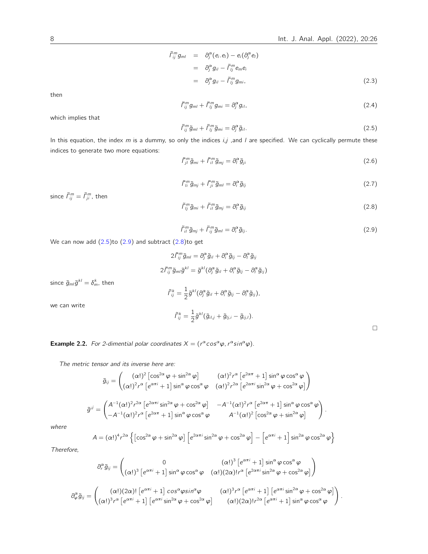$$
\tilde{f}_{ij}^m g_{ml} = \partial_j^{\alpha} (e_i.e_l) - e_i (\partial_j^{\alpha} e_l)
$$
\n
$$
= \partial_j^{\alpha} g_{il} - \tilde{f}_{ij}^m e_m e_i
$$
\n
$$
= \partial_j^{\alpha} g_{il} - \tilde{f}_{ij}^m g_{mi}, \qquad (2.3)
$$

then

$$
\tilde{\Gamma}_{ij}^m g_{ml} + \tilde{\Gamma}_{lj}^m g_{mi} = \partial_j^{\alpha} g_{il},\tag{2.4}
$$

<span id="page-7-0"></span>which implies that

$$
\tilde{\Gamma}_{ij}^m \tilde{g}_{ml} + \tilde{\Gamma}_{lj}^m \tilde{g}_{mi} = \partial_j^{\alpha} \tilde{g}_{il}.
$$
\n(2.5)

In this equation, the index  $m$  is a dummy, so only the indices  $i, j$  , and  $l$  are specified. We can cyclically permute these indices to generate two more equations:

$$
\tilde{\Gamma}_{jl}^m \tilde{g}_{mi} + \tilde{\Gamma}_{il}^m \tilde{g}_{mj} = \partial_l^{\alpha} \tilde{g}_{ji} \tag{2.6}
$$

$$
\tilde{\Gamma}_{li}^{m}\tilde{g}_{mj}+\tilde{\Gamma}_{ji}^{m}\tilde{g}_{ml}=\partial_{i}^{\alpha}\tilde{g}_{lj}\tag{2.7}
$$

<span id="page-7-2"></span><span id="page-7-1"></span>since  $\tilde{\Gamma}_{ij}^m = \tilde{\Gamma}_{ji}^m$ , then

$$
\tilde{\Gamma}_{lj}^m \tilde{g}_{mi} + \tilde{\Gamma}_{il}^m \tilde{g}_{mj} = \partial_l^{\alpha} \tilde{g}_{ij}
$$
\n(2.8)

$$
\tilde{\mathbf{L}}_{il}^{m}\tilde{\mathbf{g}}_{mj}+\tilde{\mathbf{L}}_{ij}^{m}\tilde{\mathbf{g}}_{ml}=\partial_{i}^{\alpha}\tilde{\mathbf{g}}_{lj}.
$$
\n(2.9)

**.** 

We can now add [\(2.5\)](#page-7-0)to [\(2.9\)](#page-7-1) and subtract [\(2.8\)](#page-7-2)to get

$$
2\tilde{\Gamma}_{ij}^{m}\tilde{g}_{ml}=\partial_{j}^{\alpha}\tilde{g}_{il}+\partial_{i}^{\alpha}\tilde{g}_{lj}-\partial_{i}^{\alpha}\tilde{g}_{ij}
$$

$$
2\tilde{\Gamma}_{ij}^{m}\tilde{g}_{ml}\tilde{g}^{kl}=\tilde{g}^{kl}(\partial_{j}^{\alpha}\tilde{g}_{il}+\partial_{i}^{\alpha}\tilde{g}_{lj}-\partial_{l}^{\alpha}\tilde{g}_{ij})
$$

since  $\tilde{g}_{ml}\tilde{g}^{kl}=\delta^k_m$ , then

$$
\tilde{\Gamma}_{ij}^k = \frac{1}{2}\tilde{g}^{kl}(\partial_j^{\alpha}\tilde{g}_{il} + \partial_i^{\alpha}\tilde{g}_{lj} - \partial_l^{\alpha}\tilde{g}_{ij}),
$$

we can write

$$
\tilde{\Gamma}_{ij}^k = \frac{1}{2}\tilde{g}^{kl}(\tilde{g}_{il,j} + \tilde{g}_{lj,i} - \tilde{g}_{ij,l}).
$$

**Example 2.2.** For 2-dimential polar coordinates  $X = (r^{\alpha} \cos^{\alpha} \varphi, r^{\alpha} \sin^{\alpha} \varphi)$ .

The metric tensor and its inverse here are:

$$
\tilde{g}_{ij} = \begin{pmatrix} (\alpha!)^2 \left[ \cos^{2\alpha} \varphi + \sin^{2\alpha} \varphi \right] & (\alpha!)^2 r^{\alpha} \left[ e^{2\alpha \pi} + 1 \right] \sin^{\alpha} \varphi \cos^{\alpha} \varphi \\ (\alpha!)^2 r^{\alpha} \left[ e^{\alpha \pi i} + 1 \right] \sin^{\alpha} \varphi \cos^{\alpha} \varphi & (\alpha!)^2 r^{2\alpha} \left[ e^{2\alpha \pi i} \sin^{2\alpha} \varphi + \cos^{2\alpha} \varphi \right] \end{pmatrix}
$$

$$
\tilde{g}^{ij} = \begin{pmatrix} A^{-1} (\alpha!)^2 r^{2\alpha} \left[ e^{2\alpha \pi i} \sin^{2\alpha} \varphi + \cos^{2\alpha} \varphi \right] & -A^{-1} (\alpha!)^2 r^{\alpha} \left[ e^{2\alpha \pi} + 1 \right] \sin^{\alpha} \varphi \cos^{\alpha} \varphi \\ -A^{-1} (\alpha!)^2 r^{\alpha} \left[ e^{2\alpha \pi} + 1 \right] \sin^{\alpha} \varphi \cos^{\alpha} \varphi & A^{-1} (\alpha!)^2 \left[ \cos^{2\alpha} \varphi + \sin^{2\alpha} \varphi \right] \end{pmatrix}.
$$

where

$$
A = (\alpha!)^4 r^{2\alpha} \left\{ \left[ \cos^{2\alpha} \varphi + \sin^{2\alpha} \varphi \right] \left[ e^{2\alpha \pi i} \sin^{2\alpha} \varphi + \cos^{2\alpha} \varphi \right] - \left[ e^{\alpha \pi i} + 1 \right] \sin^{2\alpha} \varphi \cos^{2\alpha} \varphi \right\}
$$

Therefore,

$$
\partial_r^{\alpha}\tilde{g}_{ij} = \begin{pmatrix} 0 & (\alpha!)^3 \left[e^{\alpha\pi i} + 1\right] \sin^{\alpha}\varphi \cos^{\alpha}\varphi \\ (\alpha!)^3 \left[e^{\alpha\pi i} + 1\right] \sin^{\alpha}\varphi \cos^{\alpha}\varphi & (\alpha!) (2\alpha)! r^{\alpha} \left[e^{2\alpha\pi i} \sin^{2\alpha}\varphi + \cos^{2\alpha}\varphi\right] \end{pmatrix}
$$

$$
\partial_{\varphi}^{\alpha}\tilde{g}_{ij} = \begin{pmatrix} (\alpha!)(2\alpha)! \left[e^{\alpha\pi i} + 1\right] \cos^{\alpha}\varphi \sin^{\alpha}\varphi & (\alpha!)^3 r^{\alpha} \left[e^{\alpha\pi i} + 1\right] \left[e^{\alpha\pi i} \sin^{2\alpha}\varphi + \cos^{2\alpha}\varphi\right] \\ (\alpha!)^3 r^{\alpha} \left[e^{\alpha\pi i} + 1\right] \left[e^{\alpha\pi i} \sin^{2\alpha}\varphi + \cos^{2\alpha}\varphi\right] & (\alpha!)(2\alpha)! r^{2\alpha} \left[e^{\alpha\pi i} + 1\right] \sin^{\alpha}\varphi \cos^{\alpha}\varphi \end{pmatrix}.
$$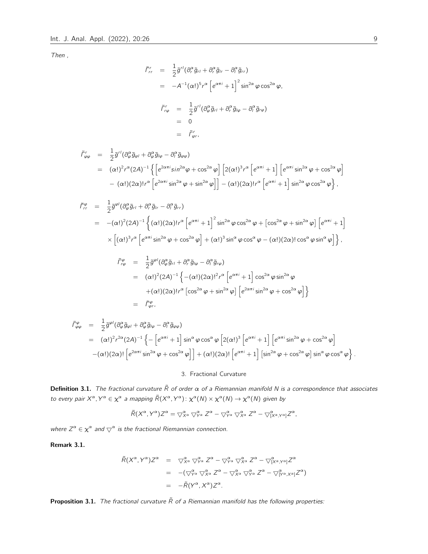Then ,

$$
\tilde{f}_{rr}^r = \frac{1}{2} \tilde{g}^{r\prime} (\partial_r^{\alpha} \tilde{g}_{r\prime} + \partial_r^{\alpha} \tilde{g}_{lr} - \partial_l^{\alpha} \tilde{g}_{rr})
$$
\n
$$
= -A^{-1} (\alpha!)^5 r^{\alpha} \left[ e^{\alpha \pi i} + 1 \right]^2 \sin^{2\alpha} \varphi \cos^{2\alpha} \varphi,
$$
\n
$$
\tilde{f}_{r\varphi}^r = \frac{1}{2} \tilde{g}^{r\prime} (\partial_{\varphi}^{\alpha} \tilde{g}_{r\prime} + \partial_r^{\alpha} \tilde{g}_{l\varphi} - \partial_l^{\alpha} \tilde{g}_{r\varphi})
$$
\n
$$
= 0
$$
\n
$$
= \tilde{f}_{\varphi r}^r,
$$

$$
\tilde{\Gamma}^r_{\varphi\varphi} = \frac{1}{2}\tilde{g}^{r\prime}(\partial^{\alpha}_{\varphi}\tilde{g}_{\varphi\prime} + \partial^{\alpha}_{\varphi}\tilde{g}_{\mu\varphi} - \partial^{\alpha}_{\,}\tilde{g}_{\varphi\varphi})
$$
\n
$$
= (\alpha!)^2 r^{\alpha} (2A)^{-1} \left\{ \left[ e^{2\alpha\pi i} \sin^{2\alpha}\varphi + \cos^{2\alpha}\varphi \right] \left[ 2(\alpha!)^3 r^{\alpha} \left[ e^{\alpha\pi i} + 1 \right] \left[ e^{\alpha\pi i} \sin^{2\alpha}\varphi + \cos^{2\alpha}\varphi \right] \right. \right. \\ \left. - (\alpha!) (2\alpha)! r^{\alpha} \left[ e^{2\alpha\pi i} \sin^{2\alpha}\varphi + \sin^{2\alpha}\varphi \right] \right] - (\alpha!) (2\alpha)! r^{\alpha} \left[ e^{\alpha\pi i} + 1 \right] \sin^{2\alpha}\varphi \cos^{2\alpha}\varphi \right\},
$$

$$
\tilde{f}^{\varphi}_{rr} = \frac{1}{2} \tilde{g}^{\varphi l} (\partial^{\alpha}_{\varphi} \tilde{g}_{rl} + \partial^{\alpha}_{r} \tilde{g}_{lr} - \partial^{\alpha}_{l} \tilde{g}_{rr})
$$
\n
$$
= -(\alpha!)^{2} (2A)^{-1} \left\{ (\alpha!) (2\alpha)! r^{\alpha} \left[ e^{\alpha \pi i} + 1 \right]^{2} \sin^{2\alpha} \varphi \cos^{2\alpha} \varphi + \left[ \cos^{2\alpha} \varphi + \sin^{2\alpha} \varphi \right] \left[ e^{\alpha \pi i} + 1 \right] \right\}
$$
\n
$$
\times \left[ (\alpha!)^{3} r^{\alpha} \left[ e^{\alpha \pi i} \sin^{2\alpha} \varphi + \cos^{2\alpha} \varphi \right] + (\alpha!)^{3} \sin^{\alpha} \varphi \cos^{\alpha} \varphi - (\alpha!) (2\alpha)! \cos^{\alpha} \varphi \sin^{\alpha} \varphi \right] \right\},
$$
\n
$$
\tilde{f}^{\varphi}_{r\varphi} = \frac{1}{2} \tilde{g}^{\varphi l} (\partial^{\alpha}_{\varphi} \tilde{g}_{rl} + \partial^{\alpha}_{r} \tilde{g}_{l\varphi} - \partial^{\alpha}_{l} \tilde{g}_{r\varphi})
$$

$$
r\varphi = 2^{g} (e_{\varphi} g_{\theta} + e_{\varphi} g_{\theta} e_{\theta}) g_{\theta} g_{\theta}
$$
  
=  $(\alpha!)^2 (2A)^{-1} \left\{ -( \alpha!) (2\alpha)!^2 r^{\alpha} \left[ e^{\alpha \pi i} + 1 \right] \cos^{2\alpha} \varphi \sin^{2\alpha} \varphi + (\alpha!) (2\alpha)! r^{\alpha} \left[ \cos^{2\alpha} \varphi + \sin^{2\alpha} \varphi \right] \left[ e^{2\alpha \pi i} \sin^{2\alpha} \varphi + \cos^{2\alpha} \varphi \right] \right\}$   
=  $\tilde{f}_{\varphi r}^{\varphi}$ 

$$
\tilde{\Gamma}^{\varphi}_{\varphi\varphi} = \frac{1}{2}\tilde{g}^{\varphi/}(\partial^{\alpha}_{\varphi}\tilde{g}_{\varphi} + \partial^{\alpha}_{\varphi}\tilde{g}_{I\varphi} - \partial^{\alpha}_{I}\tilde{g}_{\varphi\varphi})
$$
\n
$$
= (\alpha!)^{2}r^{2\alpha}(2A)^{-1}\left\{-\left[e^{\alpha\pi i}+1\right]\sin^{\alpha}\varphi\cos^{\alpha}\varphi\left[2(\alpha!)^{3}\left[e^{\alpha\pi i}+1\right]\left[e^{\alpha\pi i}\sin^{2\alpha}\varphi+\cos^{2\alpha}\varphi\right]\right.\right.
$$
\n
$$
-(\alpha!)(2\alpha)!\left[e^{2\alpha\pi i}\sin^{2\alpha}\varphi+\cos^{2\alpha}\varphi\right]\right\} + (\alpha!)(2\alpha)!\left[e^{\alpha\pi i}+1\right]\left[\sin^{2\alpha}\varphi+\cos^{2\alpha}\varphi\right]\sin^{\alpha}\varphi\cos^{\alpha}\varphi\right\}.
$$

# 3. Fractional Curvature

Definition 3.1. The fractional curvature  $\tilde{R}$  of order  $\alpha$  of a Riemannian manifold N is a correspondence that associates to every pair  $X^{\alpha}$ ,  $Y^{\alpha} \in \chi^{\alpha}$  a mapping  $\tilde{R}(X^{\alpha}, Y^{\alpha})$ :  $\chi^{\alpha}(N) \times \chi^{\alpha}(N) \to \chi^{\alpha}(N)$  given by

$$
\tilde{R}(X^{\alpha},Y^{\alpha})Z^{\alpha} = \bigtriangledown_{X^{\alpha}}^{\alpha} \bigtriangledown_{Y^{\alpha}}^{\alpha} Z^{\alpha} - \bigtriangledown_{Y^{\alpha}}^{\alpha} \bigtriangledown_{X^{\alpha}}^{\alpha} Z^{\alpha} - \bigtriangledown_{[X^{\alpha},Y^{\alpha}]}^{\alpha} Z^{\alpha},
$$

where  $Z^{\alpha} \in \chi^{\alpha}$  and  $\bigtriangledown^{\alpha}$  is the fractional Riemannian connection.

#### Remark 3.1.

<span id="page-8-0"></span>
$$
\tilde{R}(X^{\alpha}, Y^{\alpha})Z^{\alpha} = \nabla_{X^{\alpha}}^{\alpha} \nabla_{Y^{\alpha}}^{\alpha} Z^{\alpha} - \nabla_{Y^{\alpha}}^{\alpha} \nabla_{X^{\alpha}}^{\alpha} Z^{\alpha} - \nabla_{[X^{\alpha}, Y^{\alpha}]}^{\alpha} Z^{\alpha}
$$
\n
$$
= -(\nabla_{Y^{\alpha}}^{\alpha} \nabla_{X^{\alpha}}^{\alpha} Z^{\alpha} - \nabla_{X^{\alpha}}^{\alpha} \nabla_{Y^{\alpha}}^{\alpha} Z^{\alpha} - \nabla_{[Y^{\alpha}, X^{\alpha}]}^{\alpha} Z^{\alpha})
$$
\n
$$
= -\tilde{R}(Y^{\alpha}, X^{\alpha})Z^{\alpha}.
$$

**Proposition 3.1.** The fractional curvature  $\tilde{R}$  of a Riemannian manifold has the following properties: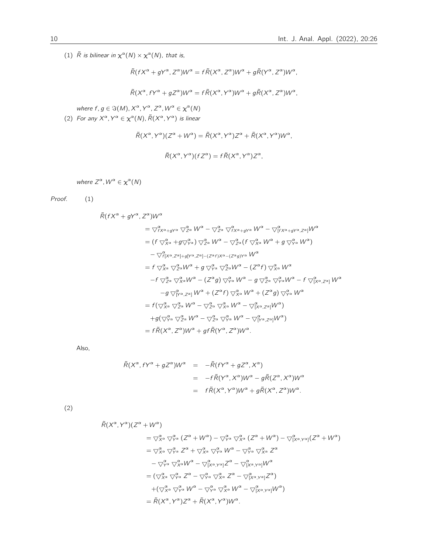(1)  $\tilde{R}$  is bilinear in  $\chi^{\alpha}(N) \times \chi^{\alpha}(N)$ , that is,

where  $Z^{\alpha}$ ,  $W^{\alpha} \in \chi^{\alpha}(N)$ 

 $\widetilde{R}(fX^{\alpha}+gY^{\alpha},Z^{\alpha})W^{\alpha}$ 

- 
- -

where  $f, g \in \Im(M), X^{\alpha}, Y^{\alpha}, Z^{\alpha}, W^{\alpha} \in \chi^{\alpha}(N)$ (2) For any  $X^{\alpha}$ ,  $Y^{\alpha} \in \chi^{\alpha}(N)$ ,  $\tilde{R}(X^{\alpha}, Y^{\alpha})$  is linear

- 
- 
- 
- 
- 
- 

 $\widetilde{R}(X^{\alpha}, fY^{\alpha} + gZ^{\alpha})W^{\alpha} = f\widetilde{R}(X^{\alpha}, Y^{\alpha})W^{\alpha} + g\widetilde{R}(X^{\alpha}, Z^{\alpha})W^{\alpha},$ 

 $\tilde{R}(X^{\alpha}, Y^{\alpha})(Z^{\alpha} + W^{\alpha}) = \tilde{R}(X^{\alpha}, Y^{\alpha})Z^{\alpha} + \tilde{R}(X^{\alpha}, Y^{\alpha})W^{\alpha},$ 

 $\tilde{R}(X^{\alpha}, Y^{\alpha})(fZ^{\alpha}) = f \tilde{R}(X^{\alpha}, Y^{\alpha})Z^{\alpha},$ 

- $\tilde{R}(fX^{\alpha}+gY^{\alpha},Z^{\alpha})W^{\alpha}=f\tilde{R}(X^{\alpha},Z^{\alpha})W^{\alpha}+g\tilde{R}(Y^{\alpha},Z^{\alpha})W^{\alpha},$
- 
- 

 $=\bigtriangledown_{fX^{\alpha}+gY^{\alpha}}^{\alpha}\bigtriangledown_{Z^{\alpha}}^{\alpha}W^{\alpha}-\bigtriangledown_{Z^{\alpha}}^{\alpha}\bigtriangledown_{fX^{\alpha}+gY^{\alpha}}^{\alpha}W^{\alpha}-\bigtriangledown_{[fX^{\alpha}+gY^{\alpha},Z^{\alpha}]}^{\alpha}W^{\alpha}$  $=(f\bigtriangledown_{X^{\alpha}}^{\alpha}+g\bigtriangledown_{Y^{\alpha}}^{\alpha})\bigtriangledown_{Z^{\alpha}}^{\alpha}W^{\alpha}-\bigtriangledown_{Z^{\alpha}}^{\alpha}(f\bigtriangledown_{X^{\alpha}}^{\alpha}W^{\alpha}+g\bigtriangledown_{Y^{\alpha}}^{\alpha}W^{\alpha})$  $-\bigtriangledown_{f[X^{\alpha},Z^{\alpha}]+g[Y^{\alpha},Z^{\alpha}]- (Z^{\alpha}f)X^{\alpha}-(Z^{\alpha}g)Y^{\alpha}} W^{\alpha}$  $= f \bigtriangledown_{X^{\alpha}}^{\alpha} \bigtriangledown_{Z^{\alpha}}^{\alpha} W^{\alpha} + g \bigtriangledown_{Y^{\alpha}}^{\alpha} \bigtriangledown_{Z^{\alpha}}^{\alpha} W^{\alpha} - (Z^{\alpha} f) \bigtriangledown_{X^{\alpha}}^{\alpha} W^{\alpha}$  $-f \bigtriangledown_{Z^{\alpha}}^{\alpha} \bigtriangledown_{X^{\alpha}}^{\alpha} W^{\alpha} - (Z^{\alpha}g) \bigtriangledown_{Y^{\alpha}}^{\alpha} W^{\alpha} - g \bigtriangledown_{Z^{\alpha}}^{\alpha} \bigtriangledown_{Y^{\alpha}}^{\alpha} W^{\alpha} - f \bigtriangledown_{[X^{\alpha},Z^{\alpha}]}^{\alpha} W^{\alpha}$  $-g\bigtriangledown_{[Y^{\alpha},Z^{\alpha}]}^{\alpha}W^{\alpha} + (Z^{\alpha}f)\bigtriangledown_{X^{\alpha}}^{\alpha}W^{\alpha} + (Z^{\alpha}g)\bigtriangledown_{Y^{\alpha}}^{\alpha}W^{\alpha}$  $=f(\bigtriangledown_{X^{\alpha}}^{\alpha}\bigtriangledown_{Z^{\alpha}}^{\alpha}W^{\alpha}-\bigtriangledown_{Z^{\alpha}}^{\alpha}\bigtriangledown_{X^{\alpha}}^{\alpha}W^{\alpha}-\bigtriangledown_{[X^{\alpha},Z^{\alpha}]}^{\alpha}W^{\alpha})$  $+g(\bigtriangledown_{\gamma\alpha}^{\alpha}\bigtriangledown_{Z^{\alpha}}^{\alpha}W^{\alpha}-\bigtriangledown_{Z^{\alpha}}^{\alpha}\bigtriangledown_{\gamma\alpha}^{\alpha}W^{\alpha}-\bigtriangledown_{[{\gamma^{\alpha}},Z^{\alpha}]}^{\alpha}W^{\alpha})$  $= f \tilde{R}(X^{\alpha}, Z^{\alpha})W^{\alpha} + gf \tilde{R}(Y^{\alpha}, Z^{\alpha})W^{\alpha}.$ 

Also,

Proof. (1)

$$
\tilde{R}(X^{\alpha}, fY^{\alpha} + gZ^{\alpha})W^{\alpha} = -\tilde{R}(fY^{\alpha} + gZ^{\alpha}, X^{\alpha})
$$
\n
$$
= -f\tilde{R}(Y^{\alpha}, X^{\alpha})W^{\alpha} - g\tilde{R}(Z^{\alpha}, X^{\alpha})W^{\alpha}
$$
\n
$$
= f\tilde{R}(X^{\alpha}, Y^{\alpha})W^{\alpha} + g\tilde{R}(X^{\alpha}, Z^{\alpha})W^{\alpha}.
$$

(2)

$$
\tilde{R}(X^{\alpha}, Y^{\alpha})(Z^{\alpha} + W^{\alpha})
$$
\n
$$
= \nabla_{X^{\alpha}}^{\alpha} \nabla_{Y^{\alpha}}^{\alpha} (Z^{\alpha} + W^{\alpha}) - \nabla_{Y^{\alpha}}^{\alpha} \nabla_{X^{\alpha}}^{\alpha} (Z^{\alpha} + W^{\alpha}) - \nabla_{[X^{\alpha}, Y^{\alpha}]}^{\alpha} (Z^{\alpha} + W^{\alpha})
$$
\n
$$
= \nabla_{X^{\alpha}}^{\alpha} \nabla_{Y^{\alpha}}^{\alpha} Z^{\alpha} + \nabla_{X^{\alpha}}^{\alpha} \nabla_{Y^{\alpha}}^{\alpha} W^{\alpha} - \nabla_{Y^{\alpha}}^{\alpha} \nabla_{X^{\alpha}}^{\alpha} Z^{\alpha}
$$
\n
$$
- \nabla_{Y^{\alpha}}^{\alpha} \nabla_{X^{\alpha}}^{\alpha} W^{\alpha} - \nabla_{[X^{\alpha}, Y^{\alpha}]}^{\alpha} Z^{\alpha} - \nabla_{[X^{\alpha}, Y^{\alpha}]}^{\alpha} W^{\alpha}
$$
\n
$$
= (\nabla_{X^{\alpha}}^{\alpha} \nabla_{Y^{\alpha}}^{\alpha} Z^{\alpha} - \nabla_{Y^{\alpha}}^{\alpha} \nabla_{X^{\alpha}}^{\alpha} Z^{\alpha} - \nabla_{[X^{\alpha}, Y^{\alpha}]}^{\alpha} Z^{\alpha})
$$
\n
$$
+ (\nabla_{X^{\alpha}}^{\alpha} \nabla_{Y^{\alpha}}^{\alpha} W^{\alpha} - \nabla_{Y^{\alpha}}^{\alpha} \nabla_{X^{\alpha}}^{\alpha} W^{\alpha} - \nabla_{[X^{\alpha}, Y^{\alpha}]}^{\alpha} W^{\alpha})
$$
\n
$$
= \tilde{R}(X^{\alpha}, Y^{\alpha})Z^{\alpha} + \tilde{R}(X^{\alpha}, Y^{\alpha})W^{\alpha}.
$$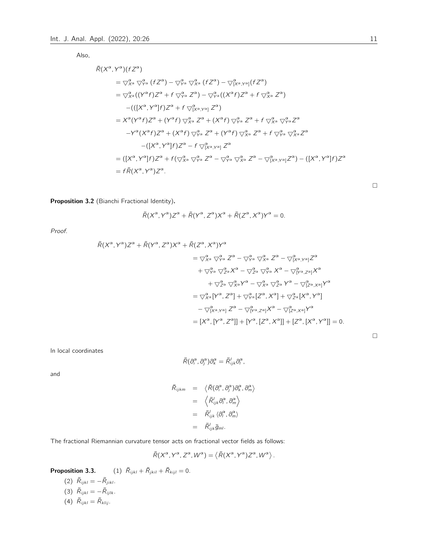Also,

$$
\tilde{R}(X^{\alpha}, Y^{\alpha})(fZ^{\alpha})
$$
\n
$$
= \nabla_{X^{\alpha}}^{\alpha} \nabla_{Y^{\alpha}}^{\alpha} (fZ^{\alpha}) - \nabla_{Y^{\alpha}}^{\alpha} \nabla_{X^{\alpha}}^{\alpha} (fZ^{\alpha}) - \nabla_{[X^{\alpha}, Y^{\alpha}]}^{\alpha} (fZ^{\alpha})
$$
\n
$$
= \nabla_{X^{\alpha}}^{\alpha} ((Y^{\alpha}f)Z^{\alpha} + f \nabla_{Y^{\alpha}}^{\alpha} Z^{\alpha}) - \nabla_{Y^{\alpha}}^{\alpha} ((X^{\alpha}f)Z^{\alpha} + f \nabla_{X^{\alpha}}^{\alpha} Z^{\alpha})
$$
\n
$$
-(((X^{\alpha}, Y^{\alpha}]f)Z^{\alpha} + f \nabla_{[X^{\alpha}, Y^{\alpha}]}^{\alpha} Z^{\alpha})
$$
\n
$$
= X^{\alpha} (Y^{\alpha}f)Z^{\alpha} + (Y^{\alpha}f) \nabla_{X^{\alpha}}^{\alpha} Z^{\alpha} + (X^{\alpha}f) \nabla_{Y^{\alpha}}^{\alpha} Z^{\alpha} + f \nabla_{X^{\alpha}}^{\alpha} \nabla_{Y^{\alpha}}^{\alpha} Z^{\alpha}
$$
\n
$$
-Y^{\alpha} (X^{\alpha}f)Z^{\alpha} + (X^{\alpha}f) \nabla_{Y^{\alpha}}^{\alpha} Z^{\alpha} + (Y^{\alpha}f) \nabla_{X^{\alpha}}^{\alpha} Z^{\alpha} + f \nabla_{Y^{\alpha}}^{\alpha} \nabla_{X^{\alpha}}^{\alpha} Z^{\alpha}
$$
\n
$$
-((X^{\alpha}, Y^{\alpha}]f)Z^{\alpha} - f \nabla_{[X^{\alpha}, Y^{\alpha}]}^{\alpha} Z^{\alpha}
$$
\n
$$
= ([X^{\alpha}, Y^{\alpha}]f)Z^{\alpha} + f(\nabla_{X^{\alpha}}^{\alpha} \nabla_{Y^{\alpha}}^{\alpha} Z^{\alpha} - \nabla_{Y^{\alpha}}^{\alpha} \nabla_{X^{\alpha}}^{\alpha} Z^{\alpha} - \nabla_{[X^{\alpha}, Y^{\alpha}]}^{\alpha} Z^{\alpha}) - ([X^{\alpha}, Y^{\alpha}]f)Z^{\alpha}
$$
\n
$$
= f\tilde{R}(X^{\alpha}, Y^
$$

Proposition 3.2 (Bianchi Fractional Identity).

$$
\widetilde{R}(X^{\alpha}, Y^{\alpha})Z^{\alpha} + \widetilde{R}(Y^{\alpha}, Z^{\alpha})X^{\alpha} + \widetilde{R}(Z^{\alpha}, X^{\alpha})Y^{\alpha} = 0.
$$

Proof.

$$
\tilde{R}(X^{\alpha}, Y^{\alpha})Z^{\alpha} + \tilde{R}(Y^{\alpha}, Z^{\alpha})X^{\alpha} + \tilde{R}(Z^{\alpha}, X^{\alpha})Y^{\alpha}
$$
\n
$$
= \nabla_{X^{\alpha}}^{\alpha} \nabla_{Y^{\alpha}}^{\alpha} Z^{\alpha} - \nabla_{Y^{\alpha}}^{\alpha} \nabla_{X^{\alpha}}^{\alpha} Z^{\alpha} - \nabla_{[X^{\alpha}, Y^{\alpha}]}^{\alpha} Z^{\alpha}
$$
\n
$$
+ \nabla_{Y^{\alpha}}^{\alpha} \nabla_{Z^{\alpha}}^{\alpha} X^{\alpha} - \nabla_{Z^{\alpha}}^{\alpha} \nabla_{Y^{\alpha}}^{\alpha} X^{\alpha} - \nabla_{[Y^{\alpha}, Z^{\alpha}]}^{\alpha} X^{\alpha}
$$
\n
$$
+ \nabla_{Z^{\alpha}}^{\alpha} \nabla_{X^{\alpha}}^{\alpha} Y^{\alpha} - \nabla_{X^{\alpha}}^{\alpha} \nabla_{Z^{\alpha}}^{\alpha} Y^{\alpha} - \nabla_{[Z^{\alpha}, X^{\alpha}]}^{\alpha} Y^{\alpha}
$$
\n
$$
= \nabla_{X^{\alpha}}^{\alpha} [Y^{\alpha}, Z^{\alpha}] + \nabla_{Y^{\alpha}}^{\alpha} [Z^{\alpha}, X^{\alpha}] + \nabla_{Z^{\alpha}}^{\alpha} [X^{\alpha}, Y^{\alpha}]
$$
\n
$$
- \nabla_{[X^{\alpha}, Y^{\alpha}]}^{\alpha} Z^{\alpha} - \nabla_{[X^{\alpha}, Z^{\alpha}]}^{\alpha} X^{\alpha} - \nabla_{[Z^{\alpha}, X^{\alpha}]}^{\alpha} Y^{\alpha}
$$
\n
$$
= [X^{\alpha}, [Y^{\alpha}, Z^{\alpha}]] + [Y^{\alpha}, [Z^{\alpha}, X^{\alpha}]] + [Z^{\alpha}, [X^{\alpha}, Y^{\alpha}]] = 0.
$$

 $\Box$ 

In local coordinates

$$
\tilde{R}(\partial_i^{\alpha},\partial_j^{\alpha})\partial_k^{\alpha}=\tilde{R}_{ijk}^l\partial_l^{\alpha},
$$

and

$$
\tilde{R}_{ijkm} = \langle \tilde{R}(\partial_i^{\alpha}, \partial_j^{\alpha}) \partial_k^{\alpha}, \partial_m^{\alpha} \rangle
$$
  
\n
$$
= \langle \tilde{R}_{ijk}^l \partial_l^{\alpha}, \partial_m^{\alpha} \rangle
$$
  
\n
$$
= \tilde{R}_{ijk}^l \langle \partial_l^{\alpha}, \partial_m^{\alpha} \rangle
$$
  
\n
$$
= \tilde{R}_{ijk}^l \tilde{g}_{ml}.
$$

The fractional Riemannian curvature tensor acts on fractional vector fields as follows:

$$
\tilde{R}(X^{\alpha}, Y^{\alpha}, Z^{\alpha}, W^{\alpha}) = \langle \tilde{R}(X^{\alpha}, Y^{\alpha}) Z^{\alpha}, W^{\alpha} \rangle.
$$

**Proposition 3.3.** (1)  $\tilde{R}_{ijkl} + \tilde{R}_{jkil} + \tilde{R}_{kijl} = 0.$ (2)  $\tilde{R}_{ijkl} = -\tilde{R}_{jikl}.$ (3)  $\tilde{R}_{ijkl} = -\tilde{R}_{ijlk}$ . (4)  $\tilde{R}_{ijkl} = \tilde{R}_{klij}$ .

 $\Box$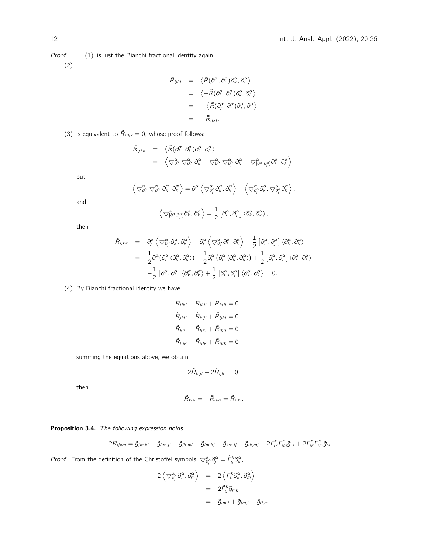Proof. (1) is just the Bianchi fractional identity again.

(2)

$$
\tilde{R}_{ijkl} = \langle \tilde{R}(\partial_i^{\alpha}, \partial_j^{\alpha}) \partial_{\kappa}^{\alpha}, \partial_i^{\alpha} \rangle
$$
  
\n
$$
= \langle -\tilde{R}(\partial_j^{\alpha}, \partial_i^{\alpha}) \partial_{\kappa}^{\alpha}, \partial_i^{\alpha} \rangle
$$
  
\n
$$
= -\langle \tilde{R}(\partial_j^{\alpha}, \partial_i^{\alpha}) \partial_{\kappa}^{\alpha}, \partial_i^{\alpha} \rangle
$$
  
\n
$$
= -\tilde{R}_{jikl}.
$$

(3) is equivalent to  $\tilde{R}_{ijkk} = 0$ , whose proof follows:

$$
\begin{array}{rcl}\n\tilde{R}_{ijkk} & = & \left\langle \tilde{R}(\partial_i^{\alpha}, \partial_j^{\alpha}) \partial_k^{\alpha}, \partial_k^{\alpha} \right\rangle \\
& = & \left\langle \nabla \frac{\alpha}{\partial_j^{\alpha}} \nabla \frac{\alpha}{\partial_j^{\alpha}} \partial_k^{\alpha} - \nabla \frac{\alpha}{\partial_j^{\alpha}} \nabla \frac{\alpha}{\partial_j^{\alpha}} \partial_k^{\alpha} - \nabla \frac{\alpha}{[\partial_j^{\alpha}, \partial_j^{\alpha}]} \partial_k^{\alpha}, \partial_k^{\alpha} \right\rangle,\n\end{array}
$$

but

$$
\left\langle \bigtriangledown^{\alpha}_{\partial_{j}^{\alpha}}\bigtriangledown^{\alpha}_{\partial_{i}^{\alpha}}\partial_{k}^{\alpha}, \partial_{k}^{\alpha}\right\rangle=\partial_{j}^{\alpha}\left\langle \bigtriangledown^{\alpha}_{\partial_{j}^{\alpha}}\partial_{k}^{\alpha}, \partial_{k}^{\alpha}\right\rangle-\left\langle \bigtriangledown^{\alpha}_{\partial_{j}^{\alpha}}\partial_{k}^{\alpha}, \bigtriangledown^{\alpha}_{\partial_{j}^{\alpha}}\partial_{k}^{\alpha}\right\rangle,
$$

and

$$
\left\langle \bigtriangledown^{\alpha}_{[\partial^{\alpha}_{i}, \partial^{\alpha}_{j}]}\partial^{\alpha}_{k}, \partial^{\alpha}_{k}\right\rangle = \frac{1}{2}\left[\partial^{\alpha}_{i}, \partial^{\alpha}_{j}\right]\left\langle \partial^{\alpha}_{k}, \partial^{\alpha}_{k}\right\rangle,
$$

then

$$
\tilde{R}_{ijkk} = \partial_{j}^{\alpha} \left\langle \nabla^{\alpha}_{\partial_{j}^{\alpha}} \partial_{k}^{\alpha}, \partial_{k}^{\alpha} \right\rangle - \partial_{i}^{\alpha} \left\langle \nabla^{\alpha}_{\partial_{j}^{\alpha}} \partial_{k}^{\alpha}, \partial_{k}^{\alpha} \right\rangle + \frac{1}{2} \left[ \partial_{i}^{\alpha}, \partial_{j}^{\alpha} \right] \left\langle \partial_{k}^{\alpha}, \partial_{k}^{\alpha} \right\rangle
$$
\n
$$
= \frac{1}{2} \partial_{j}^{\alpha} \left( \partial_{i}^{\alpha} \left\langle \partial_{k}^{\alpha}, \partial_{k}^{\alpha} \right\rangle \right) - \frac{1}{2} \partial_{i}^{\alpha} \left( \partial_{j}^{\alpha} \left\langle \partial_{k}^{\alpha}, \partial_{k}^{\alpha} \right\rangle \right) + \frac{1}{2} \left[ \partial_{i}^{\alpha}, \partial_{j}^{\alpha} \right] \left\langle \partial_{k}^{\alpha}, \partial_{k}^{\alpha} \right\rangle
$$
\n
$$
= -\frac{1}{2} \left[ \partial_{i}^{\alpha}, \partial_{j}^{\alpha} \right] \left\langle \partial_{k}^{\alpha}, \partial_{k}^{\alpha} \right\rangle + \frac{1}{2} \left[ \partial_{i}^{\alpha}, \partial_{j}^{\alpha} \right] \left\langle \partial_{k}^{\alpha}, \partial_{k}^{\alpha} \right\rangle = 0.
$$

(4) By Bianchi fractional identity we have

$$
\tilde{R}_{ijkl} + \tilde{R}_{jkil} + \tilde{R}_{kijl} = 0
$$
  

$$
\tilde{R}_{jkli} + \tilde{R}_{klij} + \tilde{R}_{ljki} = 0
$$
  

$$
\tilde{R}_{klij} + \tilde{R}_{likj} + \tilde{R}_{iklj} = 0
$$
  

$$
\tilde{R}_{lijk} + \tilde{R}_{ijlk} + \tilde{R}_{jlik} = 0
$$

summing the equations above, we obtain

$$
2\tilde{R}_{kijl} + 2\tilde{R}_{ljki} = 0,
$$

then

$$
\tilde{R}_{kijl}=-\tilde{R}_{ljki}=\tilde{R}_{jlki}.
$$

 $\Box$ 

Proposition 3.4. The following expression holds

$$
2\tilde{R}_{ijkm} = \tilde{g}_{jm,ki} + \tilde{g}_{kmji} - \tilde{g}_{jk,mi} - \tilde{g}_{im,kj} - \tilde{g}_{km,ij} + \tilde{g}_{ik,mj} - 2\tilde{\Gamma}^r_{jk}\tilde{\Gamma}^s_{im}\tilde{g}_{rs} + 2\tilde{\Gamma}^r_{ik}\tilde{\Gamma}^s_{jm}\tilde{g}_{rs}.
$$

*Proof.* From the definition of the Christoffel symbols,  $\bigtriangledown^{\alpha}_{\partial_i^{\alpha}}\partial^{\alpha}_j = \tilde{\Gamma}^k_{ij}\partial^{\alpha}_k$ ,

$$
2\left\langle \bigtriangledown^{\alpha}_{\partial_{j}^{\alpha}} \partial_{j}^{\alpha}, \partial_{m}^{\alpha} \right\rangle = 2\left\langle \tilde{\Gamma}_{ij}^{k} \partial_{k}^{\alpha}, \partial_{m}^{\alpha} \right\rangle
$$
  
=  $2\tilde{\Gamma}_{ij}^{k} \tilde{g}_{mk}$   
=  $\tilde{g}_{im,j} + \tilde{g}_{jm,i} - \tilde{g}_{ij,m}$ ,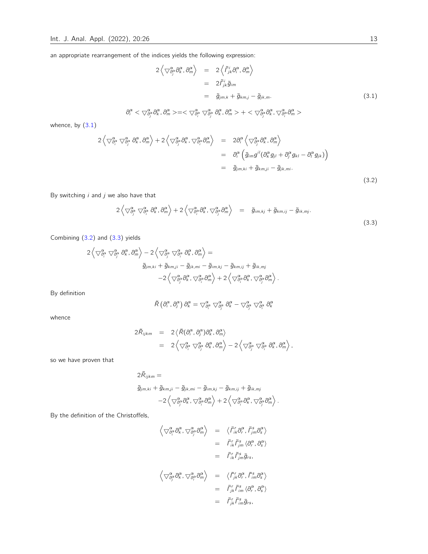an appropriate rearrangement of the indices yields the following expression:

$$
2\left\langle \nabla^{\alpha}_{\partial_{j}^{\alpha}} \partial_{k}^{\alpha}, \partial_{m}^{\alpha} \right\rangle = 2\left\langle \tilde{f}_{jk}^{i} \partial_{i}^{\alpha}, \partial_{m}^{\alpha} \right\rangle
$$
  
\n
$$
= 2\tilde{f}_{jk}^{i} \tilde{g}_{im}
$$
  
\n
$$
= \tilde{g}_{jm,k} + \tilde{g}_{kmj} - \tilde{g}_{jk,m}.
$$
  
\n
$$
\partial_{i}^{\alpha} < \nabla^{\alpha}_{\partial_{j}^{\alpha}} \partial_{k}^{\alpha}, \partial_{m}^{\alpha} > = \langle \nabla^{\alpha}_{\partial_{j}^{\alpha}} \partial_{k}^{\alpha}, \partial_{\partial_{j}^{\alpha}}^{\alpha} \partial_{k}^{\alpha}, \partial_{m}^{\alpha} > + \langle \nabla^{\alpha}_{\partial_{j}^{\alpha}} \partial_{k}^{\alpha}, \nabla^{\alpha}_{\partial_{j}^{\alpha}} \partial_{m}^{\alpha} \rangle
$$
\n(3.1)

whence, by  $(3.1)$ 

<span id="page-12-0"></span>
$$
2\left\langle \nabla^{\alpha}_{\partial_{i}^{\alpha}}\nabla^{\alpha}_{\partial_{j}^{\alpha}}\partial_{k}^{\alpha},\partial_{m}^{\alpha}\right\rangle + 2\left\langle \nabla^{\alpha}_{\partial_{j}^{\alpha}}\partial_{k}^{\alpha},\nabla^{\alpha}_{\partial_{i}^{\alpha}}\partial_{m}^{\alpha}\right\rangle = 2\partial_{i}^{\alpha}\left\langle \nabla^{\alpha}_{\partial_{j}^{\alpha}}\partial_{k}^{\alpha},\partial_{m}^{\alpha}\right\rangle
$$
  
\n
$$
= \partial_{i}^{\alpha}\left(\tilde{g}_{im}g^{il}(\partial_{k}^{\alpha}g_{jl} + \partial_{j}^{\alpha}g_{kl} - \partial_{l}^{\alpha}g_{jk})\right)
$$
  
\n
$$
= \tilde{g}_{jm,ki} + \tilde{g}_{km,ji} - \tilde{g}_{jk,mi}.
$$
\n(3.2)

By switching  $i$  and  $j$  we also have that

<span id="page-12-1"></span>
$$
2\left\langle \nabla^{\alpha}_{\partial_{j}^{\alpha}}\nabla^{\alpha}_{\partial_{i}^{\alpha}}\partial_{k}^{\alpha},\partial_{m}^{\alpha}\right\rangle + 2\left\langle \nabla^{\alpha}_{\partial_{j}^{\alpha}}\partial_{k}^{\alpha},\nabla^{\alpha}_{\partial_{j}^{\alpha}}\partial_{m}^{\alpha}\right\rangle = \tilde{g}_{im,kj} + \tilde{g}_{km,ij} - \tilde{g}_{ik,mj}.
$$
\n(3.3)

Combining [\(3.2\)](#page-12-0) and [\(3.3\)](#page-12-1) yields

$$
\begin{split} 2\left\langle \bigtriangledown^{\alpha}_{\partial_{j}^{\alpha}}\bigtriangledown^{\alpha}_{\partial_{j}^{\alpha}}\partial_{k}^{\alpha},\partial_{m}^{\alpha}\right\rangle -2\left\langle \bigtriangledown^{\alpha}_{\partial_{j}^{\alpha}}\bigtriangledown^{\alpha}_{\partial_{j}^{\alpha}}\partial_{k}^{\alpha},\partial_{m}^{\alpha}\right\rangle =\\ \tilde{g}_{jm,ki}+\tilde{g}_{km,ji}-\tilde{g}_{jk,mi}-\tilde{g}_{im,kj}-\tilde{g}_{km,ij}+\tilde{g}_{ik,mj}\\ -2\left\langle \bigtriangledown^{\alpha}_{\partial_{j}^{\alpha}}\partial_{k}^{\alpha},\bigtriangledown^{\alpha}_{\partial_{j}^{\alpha}}\partial_{m}^{\alpha}\right\rangle +2\left\langle \bigtriangledown^{\alpha}_{\partial_{j}^{\alpha}}\partial_{k}^{\alpha},\bigtriangledown^{\alpha}_{\partial_{j}^{\alpha}}\partial_{m}^{\alpha}\right\rangle .\end{split}
$$

By definition

$$
\tilde{R}\left(\partial_{i}^{\alpha},\partial_{j}^{\alpha}\right)\partial_{k}^{\alpha}=\bigtriangledown_{\partial_{i}^{\alpha}}^{\alpha}\bigtriangledown_{\partial_{j}^{\alpha}}^{\alpha}\partial_{k}^{\alpha}-\bigtriangledown_{\partial_{j}^{\alpha}}^{\alpha}\bigtriangledown_{\partial_{i}^{\alpha}}^{\alpha}\partial_{k}^{\alpha}
$$

whence

$$
2\tilde{R}_{ijkm} = 2\langle \tilde{R}(\partial_i^{\alpha}, \partial_j^{\alpha})\partial_k^{\alpha}, \partial_m^{\alpha} \rangle
$$
  
=  $2\langle \nabla \partial_j^{\alpha} \nabla \partial_j^{\alpha} \partial_k^{\alpha}, \partial_m^{\alpha} \rangle - 2\langle \nabla \partial_j^{\alpha} \nabla \partial_j^{\alpha} \partial_k^{\alpha}, \partial_m^{\alpha} \rangle$ ,

so we have proven that

$$
2\tilde{R}_{ijkm} =
$$
  
\n
$$
\tilde{g}_{jm,ki} + \tilde{g}_{km,ji} - \tilde{g}_{jk,mi} - \tilde{g}_{im,kj} - \tilde{g}_{km,ij} + \tilde{g}_{ik,mj}
$$
  
\n
$$
-2\left\langle \nabla \tilde{\sigma}^{\alpha}_{\beta} \partial^{\alpha}_{k}, \nabla \tilde{\sigma}^{\alpha}_{\beta} \partial^{\alpha}_{m} \right\rangle + 2\left\langle \nabla \tilde{\sigma}^{\alpha}_{\beta} \partial^{\alpha}_{k}, \nabla \tilde{\sigma}^{\alpha}_{\beta} \partial^{\alpha}_{m} \right\rangle.
$$

By the definition of the Christoffels,

$$
\begin{array}{rcl}\n\left\langle \bigtriangledown^{\alpha}_{\partial_{i}^{\alpha}}\partial_{k}^{\alpha},\bigtriangledown^{\alpha}_{\partial_{j}^{\alpha}}\partial_{m}^{\alpha}\right\rangle & = & \left\langle \tilde{\Gamma}_{ik}^{r}\partial_{r}^{\alpha},\tilde{\Gamma}_{jm}^{s}\partial_{s}^{\alpha}\right\rangle \\
 & = & \tilde{\Gamma}_{ik}^{r}\tilde{\Gamma}_{jm}^{s}\left\langle \partial_{r}^{\alpha},\partial_{s}^{\alpha}\right\rangle \\
 & = & \tilde{\Gamma}_{ik}^{r}\tilde{\Gamma}_{jm}^{s}\left\langle \partial_{r}^{\alpha},\partial_{s}^{\alpha}\right\rangle \\
 & = & \tilde{\Gamma}_{ik}^{r}\tilde{\Gamma}_{jm}^{s}\tilde{g}_{rs}, \\
\left\langle \bigtriangledown^{\alpha}_{\partial_{j}^{\alpha}}\partial_{k}^{\alpha},\bigtriangledown^{\alpha}_{\partial_{j}^{\alpha}}\partial_{m}^{\alpha}\right\rangle & = & \left\langle \tilde{\Gamma}_{jk}^{r}\partial_{r}^{\alpha},\tilde{\Gamma}_{im}^{s}\partial_{s}^{\alpha}\right\rangle \\
 & = & \tilde{\Gamma}_{jk}^{r}\tilde{\Gamma}_{im}^{s}\left\langle \partial_{r}^{\alpha},\partial_{s}^{\alpha}\right\rangle \\
 & = & \tilde{\Gamma}_{jk}^{r}\tilde{\Gamma}_{im}^{s}\left\langle \partial_{rs}^{\alpha},\partial_{s}^{\alpha}\right\rangle \\
 & = & \tilde{\Gamma}_{jk}^{r}\tilde{\Gamma}_{im}^{s}\tilde{g}_{rs},\n\end{array}
$$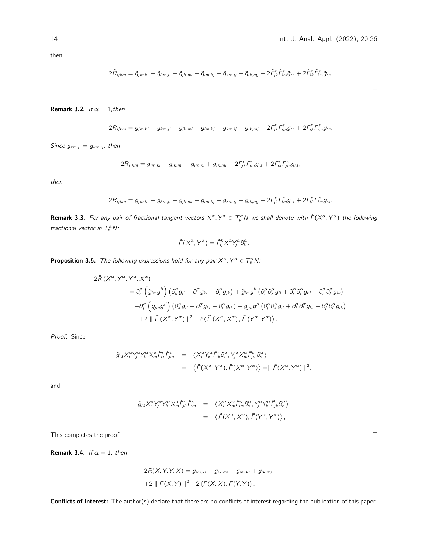$\Box$ 

then

$$
2\tilde{R}_{ijkm}=\tilde{g}_{jm,ki}+\tilde{g}_{km,ji}-\tilde{g}_{jk,mi}-\tilde{g}_{im,kj}-\tilde{g}_{km,ij}+\tilde{g}_{ik,mj}-2\tilde{\Gamma}^r_{jk}\tilde{\Gamma}^s_{im}\tilde{g}_{rs}+2\tilde{\Gamma}^r_{ik}\tilde{\Gamma}^s_{jm}\tilde{g}_{rs}.
$$

Remark 3.2. If  $\alpha = 1$ , then

$$
2R_{ijkm} = g_{jm,ki} + g_{km,ji} - g_{jk,mi} - g_{im,kj} - g_{km,ij} + g_{ik,mj} - 2\Gamma_{jk}^r \Gamma_{im}^s g_{rs} + 2\Gamma_{ik}^r \Gamma_{jm}^s g_{rs}.
$$

Since  $g_{km,ji} = g_{km,ij}$ , then

$$
2R_{ijkm} = g_{jm,ki} - g_{jk,mi} - g_{im,kj} + g_{ik,mj} - 2\Gamma_{jk}^{r} \Gamma_{im}^{s} g_{rs} + 2\Gamma_{ik}^{r} \Gamma_{jm}^{s} g_{rs},
$$

then

$$
2R_{ijkm} = \tilde{g}_{jm,ki} + \tilde{g}_{km,ji} - \tilde{g}_{jk,mi} - \tilde{g}_{im,kj} - \tilde{g}_{km,ij} + \tilde{g}_{ik,mj} - 2\Gamma^r_{jk}\Gamma^s_{im}g_{rs} + 2\Gamma^r_{ik}\Gamma^s_{jm}g_{rs}.
$$

**Remark 3.3.** For any pair of fractional tangent vectors  $X^\alpha, Y^\alpha \in T^\alpha_\rho N$  we shall denote with  $\tilde\Gamma(X^\alpha, Y^\alpha)$  the following fractional vector in  $T_p^{\alpha} N$ :

$$
\tilde{\Gamma}(X^{\alpha}, Y^{\alpha}) = \tilde{\Gamma}_{ij}^{k} X_{i}^{\alpha} Y_{j}^{\alpha} \partial_{k}^{\alpha}.
$$

**Proposition 3.5.** The following expressions hold for any pair  $X^{\alpha}$ ,  $Y^{\alpha} \in T_{p}^{\alpha} N$ :

$$
2\tilde{R}\left(X^{\alpha},Y^{\alpha},Y^{\alpha},X^{\alpha}\right)
$$
\n
$$
= \partial_{i}^{\alpha}\left(\tilde{g}_{im}g^{il}\right)\left(\partial_{k}^{\alpha}g_{jl} + \partial_{j}^{\alpha}g_{kl} - \partial_{l}^{\alpha}g_{jk}\right) + \tilde{g}_{im}g^{il}\left(\partial_{i}^{\alpha}\partial_{k}^{\alpha}g_{jl} + \partial_{i}^{\alpha}\partial_{j}^{\alpha}g_{kl} - \partial_{i}^{\alpha}\partial_{l}^{\alpha}g_{jk}\right)
$$
\n
$$
- \partial_{j}^{\alpha}\left(\tilde{g}_{jm}g^{il}\right)\left(\partial_{k}^{\alpha}g_{il} + \partial_{i}^{\alpha}g_{kl} - \partial_{l}^{\alpha}g_{ik}\right) - \tilde{g}_{jm}g^{il}\left(\partial_{j}^{\alpha}\partial_{k}^{\alpha}g_{il} + \partial_{j}^{\alpha}\partial_{l}^{\alpha}g_{kl} - \partial_{j}^{\alpha}\partial_{l}^{\alpha}g_{ik}\right)
$$
\n
$$
+ 2\parallel \tilde{\Gamma}\left(X^{\alpha},Y^{\alpha}\right)\parallel^{2} - 2\left\langle \tilde{\Gamma}\left(X^{\alpha},X^{\alpha}\right), \tilde{\Gamma}\left(Y^{\alpha},Y^{\alpha}\right)\right\rangle.
$$

Proof. Since

$$
\tilde{g}_{rs}X_i^{\alpha}Y_j^{\alpha}Y_k^{\alpha}X_m^{\alpha}\tilde{\Gamma}_{ik}^r\tilde{\Gamma}_{jm}^s = \langle X_i^{\alpha}Y_k^{\alpha}\tilde{\Gamma}_{ik}^r\partial_r^{\alpha}, Y_j^{\alpha}X_m^{\alpha}\tilde{\Gamma}_{jm}^s\partial_s^{\alpha}\rangle
$$
  

$$
= \langle \tilde{\Gamma}(X^{\alpha}, Y^{\alpha}), \tilde{\Gamma}(X^{\alpha}, Y^{\alpha}) \rangle = || \tilde{\Gamma}(X^{\alpha}, Y^{\alpha}) ||^2
$$

and

$$
\tilde{g}_{rs}X_i^{\alpha}Y_j^{\alpha}Y_k^{\alpha}X_m^{\alpha}\tilde{\Gamma}_{jk}^r\tilde{\Gamma}_{im}^s = \langle X_i^{\alpha}X_m^{\alpha}\tilde{\Gamma}_{im}^s\partial_s^{\alpha}, Y_j^{\alpha}Y_k^{\alpha}\tilde{\Gamma}_{jk}^r\partial_r^{\alpha}\rangle
$$

$$
= \langle \tilde{\Gamma}(X^{\alpha}, X^{\alpha}), \tilde{\Gamma}(Y^{\alpha}, Y^{\alpha}) \rangle,
$$

This completes the proof.  $\Box$ 

**Remark 3.4.** If  $\alpha = 1$ , then

$$
2R(X, Y, Y, X) = g_{jm,ki} - g_{jk,mi} - g_{im,kj} + g_{ik,mj}
$$
  
+2 ||  $\Gamma(X, Y) ||^2 - 2 \langle \Gamma(X, X), \Gamma(Y, Y) \rangle$ .

Conflicts of Interest: The author(s) declare that there are no conflicts of interest regarding the publication of this paper.

,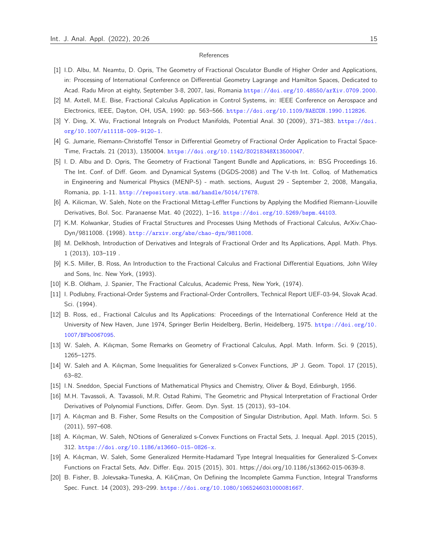#### References

- <span id="page-14-0"></span>[1] I.D. Albu, M. Neamtu, D. Opris, The Geometry of Fractional Osculator Bundle of Higher Order and Applications, in: Processing of International Conference on Differential Geometry Lagrange and Hamilton Spaces, Dedicated to Acad. Radu Miron at eighty, September 3-8, 2007, Iasi, Romania <https://doi.org/10.48550/arXiv.0709.2000>.
- <span id="page-14-11"></span>[2] M. Axtell, M.E. Bise, Fractional Calculus Application in Control Systems, in: IEEE Conference on Aerospace and Electronics, IEEE, Dayton, OH, USA, 1990: pp. 563–566. <https://doi.org/10.1109/NAECON.1990.112826>.
- <span id="page-14-16"></span>[3] Y. Ding, X. Wu, Fractional Integrals on Product Manifolds, Potential Anal. 30 (2009), 371–383. [https://doi.](https://doi.org/10.1007/s11118-009-9120-1) [org/10.1007/s11118-009-9120-1](https://doi.org/10.1007/s11118-009-9120-1).
- <span id="page-14-5"></span>[4] G. Jumarie, Riemann-Christoffel Tensor in Differential Geometry of Fractional Order Application to Fractal Space-Time, Fractals. 21 (2013), 1350004. <https://doi.org/10.1142/S0218348X13500047>.
- <span id="page-14-19"></span>[5] I. D. Albu and D. Opris, The Geometry of Fractional Tangent Bundle and Applications, in: BSG Proceedings 16. The Int. Conf. of Diff. Geom. and Dynamical Systems (DGDS-2008) and The V-th Int. Colloq. of Mathematics in Engineering and Numerical Physics (MENP-5) - math. sections, August 29 - September 2, 2008, Mangalia, Romania, pp. 1-11. <http://repository.utm.md/handle/5014/17678>.
- <span id="page-14-17"></span>[6] A. Kilicman, W. Saleh, Note on the Fractional Mittag-Leffler Functions by Applying the Modified Riemann-Liouville Derivatives, Bol. Soc. Paranaense Mat. 40 (2022), 1–16. <https://doi.org/10.5269/bspm.44103>.
- <span id="page-14-6"></span>[7] K.M. Kolwankar, Studies of Fractal Structures and Processes Using Methods of Fractional Calculus, ArXiv:Chao-Dyn/9811008. (1998). <http://arxiv.org/abs/chao-dyn/9811008>.
- <span id="page-14-2"></span>[8] M. Delkhosh, Introduction of Derivatives and Integrals of Fractional Order and Its Applications, Appl. Math. Phys. 1 (2013), 103–119 .
- <span id="page-14-7"></span>[9] K.S. Miller, B. Ross, An Introduction to the Fractional Calculus and Fractional Differential Equations, John Wiley and Sons, Inc. New York, (1993).
- <span id="page-14-8"></span>[10] K.B. Oldham, J. Spanier, The Fractional Calculus, Academic Press, New York, (1974).
- <span id="page-14-12"></span>[11] I. Podlubny, Fractional-Order Systems and Fractional-Order Controllers, Technical Report UEF-03-94, Slovak Acad. Sci. (1994).
- <span id="page-14-9"></span>[12] B. Ross, ed., Fractional Calculus and Its Applications: Proceedings of the International Conference Held at the University of New Haven, June 1974, Springer Berlin Heidelberg, Berlin, Heidelberg, 1975. [https://doi.org/10.](https://doi.org/10.1007/BFb0067095) [1007/BFb0067095](https://doi.org/10.1007/BFb0067095).
- <span id="page-14-18"></span>[13] W. Saleh, A. Kılıçman, Some Remarks on Geometry of Fractional Calculus, Appl. Math. Inform. Sci. 9 (2015), 1265–1275.
- <span id="page-14-13"></span>[14] W. Saleh and A. Kılıçman, Some Inequalities for Generalized s-Convex Functions, JP J. Geom. Topol. 17 (2015), 63–82.
- <span id="page-14-1"></span>[15] I.N. Sneddon, Special Functions of Mathematical Physics and Chemistry, Oliver & Boyd, Edinburgh, 1956.
- <span id="page-14-10"></span>[16] M.H. Tavassoli, A. Tavassoli, M.R. Ostad Rahimi, The Geometric and Physical Interpretation of Fractional Order Derivatives of Polynomial Functions, Differ. Geom. Dyn. Syst. 15 (2013), 93–104.
- <span id="page-14-3"></span>[17] A. Kılıçman and B. Fisher, Some Results on the Composition of Singular Distribution, Appl. Math. Inform. Sci. 5 (2011), 597–608.
- <span id="page-14-14"></span>[18] A. Kılıçman, W. Saleh, NOtions of Generalized s-Convex Functions on Fractal Sets, J. Inequal. Appl. 2015 (2015), 312. <https://doi.org/10.1186/s13660-015-0826-x>.
- <span id="page-14-15"></span>[19] A. Kılıçman, W. Saleh, Some Generalized Hermite-Hadamard Type Integral Inequalities for Generalized S-Convex Functions on Fractal Sets, Adv. Differ. Equ. 2015 (2015), 301. https://doi.org/10.1186/s13662-015-0639-8.
- <span id="page-14-4"></span>[20] B. Fisher, B. Jolevsaka-Tuneska, A. KiliÇman, On Defining the Incomplete Gamma Function, Integral Transforms Spec. Funct. 14 (2003), 293–299. <https://doi.org/10.1080/1065246031000081667>.